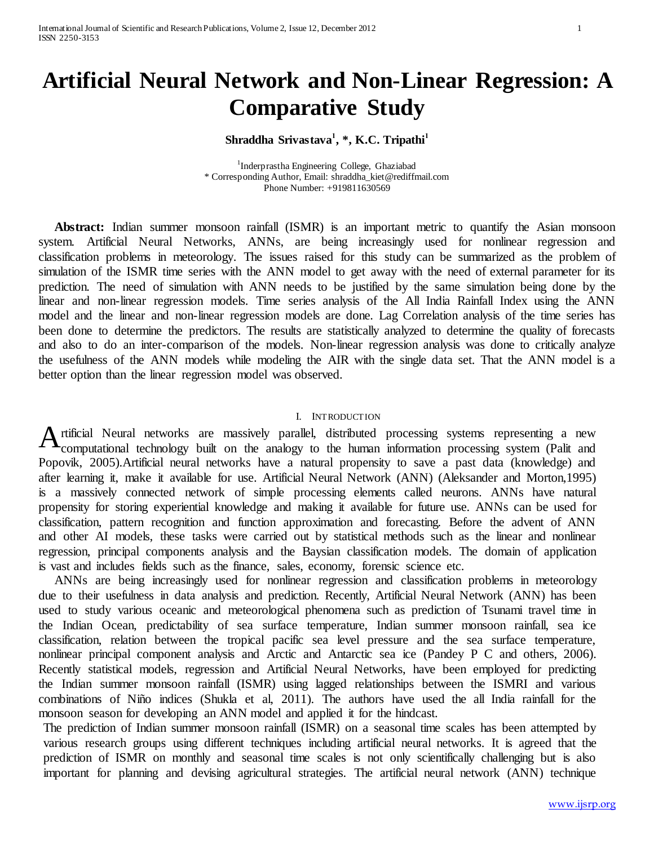# **Artificial Neural Network and Non-Linear Regression: A Comparative Study**

## **Shraddha Srivastava<sup>1</sup> , \*, K.C. Tripathi<sup>1</sup>**

<sup>1</sup>Inderprastha Engineering College, Ghaziabad \* Corresponding Author, Email[: shraddha\\_kiet@rediffmail.com](mailto:shraddha_kiet@rediffmail.com) Phone Number: +919811630569

 **Abstract:** Indian summer monsoon rainfall (ISMR) is an important metric to quantify the Asian monsoon system. Artificial Neural Networks, ANNs, are being increasingly used for nonlinear regression and classification problems in meteorology. The issues raised for this study can be summarized as the problem of simulation of the ISMR time series with the ANN model to get away with the need of external parameter for its prediction. The need of simulation with ANN needs to be justified by the same simulation being done by the linear and non-linear regression models. Time series analysis of the All India Rainfall Index using the ANN model and the linear and non-linear regression models are done. Lag Correlation analysis of the time series has been done to determine the predictors. The results are statistically analyzed to determine the quality of forecasts and also to do an inter-comparison of the models. Non-linear regression analysis was done to critically analyze the usefulness of the ANN models while modeling the AIR with the single data set. That the ANN model is a better option than the linear regression model was observed.

#### I. INTRODUCTION

A rtificial Neural networks are massively parallel, distributed processing systems representing a new computational technology built on the analogy to the human information processing system (Palit and computational technology built on the analogy to the human information processing system (Palit and Popovik, 2005).Artificial neural networks have a natural propensity to save a past data (knowledge) and after learning it, make it available for use. Artificial Neural Network (ANN) (Aleksander and Morton,1995) is a massively connected network of simple processing elements called neurons. ANNs have natural propensity for storing experiential knowledge and making it available for future use. ANNs can be used for classification, pattern recognition and function approximation and forecasting. Before the advent of ANN and other AI models, these tasks were carried out by statistical methods such as the linear and nonlinear regression, principal components analysis and the Baysian classification models. The domain of application is vast and includes fields such as the finance, sales, economy, forensic science etc.

 ANNs are being increasingly used for nonlinear regression and classification problems in meteorology due to their usefulness in data analysis and prediction. Recently, Artificial Neural Network (ANN) has been used to study various oceanic and meteorological phenomena such as prediction of Tsunami travel time in the Indian Ocean, predictability of sea surface temperature, Indian summer monsoon rainfall, sea ice classification, relation between the tropical pacific sea level pressure and the sea surface temperature, nonlinear principal component analysis and Arctic and Antarctic sea ice (Pandey P C and others, 2006). Recently statistical models, regression and Artificial Neural Networks, have been employed for predicting the Indian summer monsoon rainfall (ISMR) using lagged relationships between the ISMRI and various combinations of Niño indices (Shukla et al, 2011). The authors have used the all India rainfall for the monsoon season for developing an ANN model and applied it for the hindcast.

The prediction of Indian summer monsoon rainfall (ISMR) on a seasonal time scales has been attempted by various research groups using different techniques including artificial neural networks. It is agreed that the prediction of ISMR on monthly and seasonal time scales is not only scientifically challenging but is also important for planning and devising agricultural strategies. The artificial neural network (ANN) technique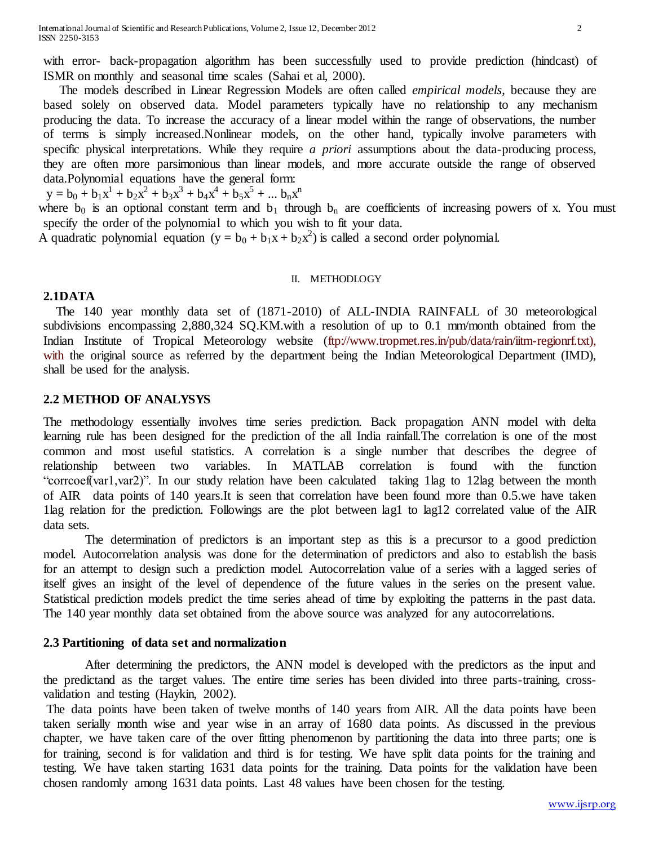with error- back-propagation algorithm has been successfully used to provide prediction (hindcast) of ISMR on monthly and seasonal time scales (Sahai et al, 2000).

 The models described in [Linear Regression Models](http://www.mathworks.in/help/toolbox/stats/bq_676m-2.html#bq_676m-3) are often called *empirical models*, because they are based solely on observed data. Model parameters typically have no relationship to any mechanism producing the data. To increase the accuracy of a linear model within the range of observations, the number of terms is simply increased.Nonlinear models, on the other hand, typically involve parameters with specific physical interpretations. While they require *a priori* assumptions about the data-producing process, they are often more parsimonious than linear models, and more accurate outside the range of observed data.Polynomial equations have the general form:

 $y = b_0 + b_1x^1 + b_2x^2 + b_3x^3 + b_4x^4 + b_5x^5 + ... b_nx^n$ 

where  $b_0$  is an optional constant term and  $b_1$  through  $b_n$  are coefficients of increasing powers of x. You must specify the order of the polynomial to which you wish to fit your data.

A quadratic polynomial equation  $(y = b_0 + b_1x + b_2x^2)$  is called a second order polynomial.

#### II. METHODLOGY

## **2.1DATA**

 The 140 year monthly data set of (1871-2010) of ALL-INDIA RAINFALL of 30 meteorological subdivisions encompassing 2,880,324 SQ.KM.with a resolution of up to 0.1 mm/month obtained from the Indian Institute of Tropical Meteorology web[site \(ftp://www.tropmet.res.in/pub/data/rain/iitm-regionrf.txt\),](ftp://www.tropmet.res.in/pub/data/rain/iitm-regionrf.txt), with)  [with](ftp://www.tropmet.res.in/pub/data/rain/iitm-regionrf.txt), with) the original source as referred by the department being the Indian Meteorological Department (IMD), shall be used for the analysis.

## **2.2 METHOD OF ANALYSYS**

The methodology essentially involves time series prediction. Back propagation ANN model with delta learning rule has been designed for the prediction of the all India rainfall.The correlation is one of the most common and most useful statistics. A correlation is a single number that describes the degree of relationship between two variables. In MATLAB correlation is found with the function "corrcoef(var1,var2)". In our study relation have been calculated taking 1lag to 12lag between the month of AIR data points of 140 years.It is seen that correlation have been found more than 0.5.we have taken 1lag relation for the prediction. Followings are the plot between lag1 to lag12 correlated value of the AIR data sets.

 The determination of predictors is an important step as this is a precursor to a good prediction model. Autocorrelation analysis was done for the determination of predictors and also to establish the basis for an attempt to design such a prediction model. Autocorrelation value of a series with a lagged series of itself gives an insight of the level of dependence of the future values in the series on the present value. Statistical prediction models predict the time series ahead of time by exploiting the patterns in the past data. The 140 year monthly data set obtained from the above source was analyzed for any autocorrelations.

## **2.3 Partitioning of data set and normalization**

 After determining the predictors, the ANN model is developed with the predictors as the input and the predictand as the target values. The entire time series has been divided into three parts-training, crossvalidation and testing (Haykin, 2002).

The data points have been taken of twelve months of 140 years from AIR. All the data points have been taken serially month wise and year wise in an array of 1680 data points. As discussed in the previous chapter, we have taken care of the over fitting phenomenon by partitioning the data into three parts; one is for training, second is for validation and third is for testing. We have split data points for the training and testing. We have taken starting 1631 data points for the training. Data points for the validation have been chosen randomly among 1631 data points. Last 48 values have been chosen for the testing.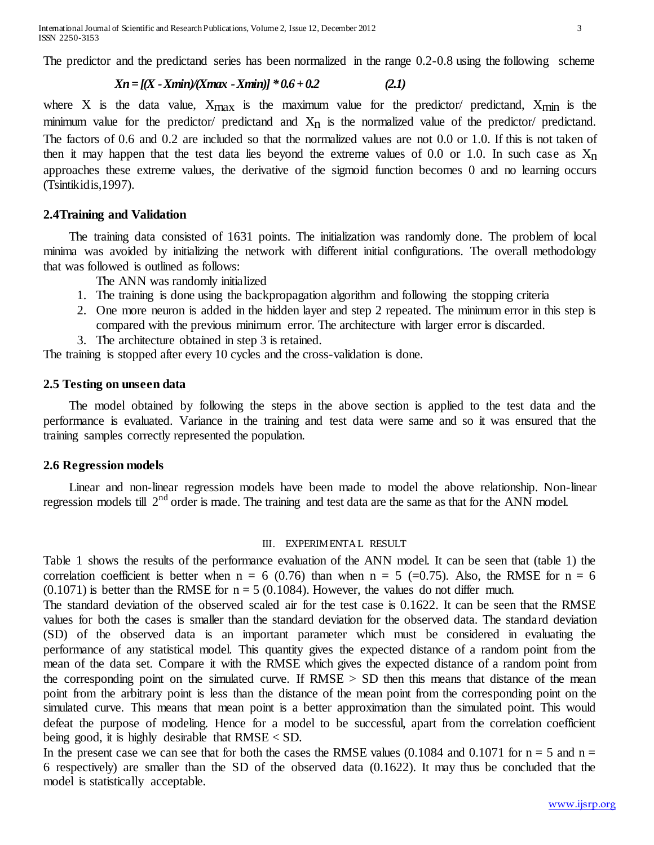The predictor and the predictand series has been normalized in the range 0.2-0.8 using the following scheme

$$
Xn = [(X - Xmin)(Xmax - Xmin)] * 0.6 + 0.2
$$
 (2.1)

where X is the data value,  $X_{\text{max}}$  is the maximum value for the predictor/ predictand,  $X_{\text{min}}$  is the minimum value for the predictor/ predictand and  $X_n$  is the normalized value of the predictor/ predictand. The factors of 0.6 and 0.2 are included so that the normalized values are not 0.0 or 1.0. If this is not taken of then it may happen that the test data lies beyond the extreme values of 0.0 or 1.0. In such case as  $X_n$ approaches these extreme values, the derivative of the sigmoid function becomes 0 and no learning occurs (Tsintikidis,1997).

## **2.4Training and Validation**

 The training data consisted of 1631 points. The initialization was randomly done. The problem of local minima was avoided by initializing the network with different initial configurations. The overall methodology that was followed is outlined as follows:

The ANN was randomly initialized

- 1. The training is done using the backpropagation algorithm and following the stopping criteria
- 2. One more neuron is added in the hidden layer and step 2 repeated. The minimum error in this step is compared with the previous minimum error. The architecture with larger error is discarded.
- 3. The architecture obtained in step 3 is retained.

The training is stopped after every 10 cycles and the cross-validation is done.

#### **2.5 Testing on unseen data**

 The model obtained by following the steps in the above section is applied to the test data and the performance is evaluated. Variance in the training and test data were same and so it was ensured that the training samples correctly represented the population.

## **2.6 Regression models**

 Linear and non-linear regression models have been made to model the above relationship. Non-linear regression models till 2<sup>nd</sup> order is made. The training and test data are the same as that for the ANN model.

#### III. EXPERIMENTAL RESULT

Table 1 shows the results of the performance evaluation of the ANN model. It can be seen that (table 1) the correlation coefficient is better when  $n = 6$  (0.76) than when  $n = 5$  (=0.75). Also, the RMSE for  $n = 6$  $(0.1071)$  is better than the RMSE for  $n = 5$  (0.1084). However, the values do not differ much.

The standard deviation of the observed scaled air for the test case is 0.1622. It can be seen that the RMSE values for both the cases is smaller than the standard deviation for the observed data. The standard deviation (SD) of the observed data is an important parameter which must be considered in evaluating the performance of any statistical model. This quantity gives the expected distance of a random point from the mean of the data set. Compare it with the RMSE which gives the expected distance of a random point from the corresponding point on the simulated curve. If  $RMSE > SD$  then this means that distance of the mean point from the arbitrary point is less than the distance of the mean point from the corresponding point on the simulated curve. This means that mean point is a better approximation than the simulated point. This would defeat the purpose of modeling. Hence for a model to be successful, apart from the correlation coefficient being good, it is highly desirable that  $RMSE < SD$ .

In the present case we can see that for both the cases the RMSE values  $(0.1084$  and  $0.1071$  for  $n = 5$  and  $n =$ 6 respectively) are smaller than the SD of the observed data (0.1622). It may thus be concluded that the model is statistically acceptable.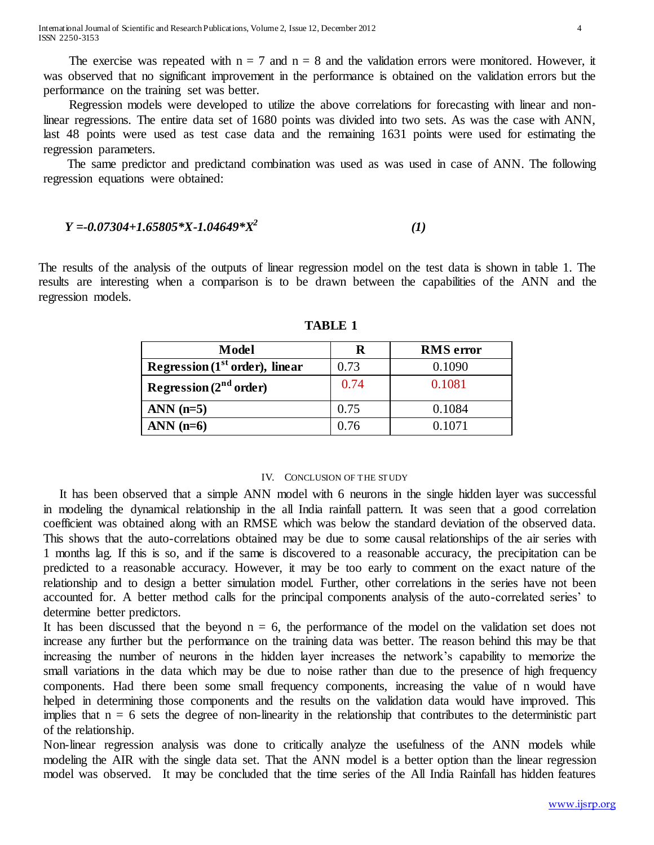The exercise was repeated with  $n = 7$  and  $n = 8$  and the validation errors were monitored. However, it was observed that no significant improvement in the performance is obtained on the validation errors but the performance on the training set was better.

 Regression models were developed to utilize the above correlations for forecasting with linear and nonlinear regressions. The entire data set of 1680 points was divided into two sets. As was the case with ANN, last 48 points were used as test case data and the remaining 1631 points were used for estimating the regression parameters.

The same predictor and predictand combination was used as was used in case of ANN. The following regression equations were obtained:

$$
Y = 0.07304 + 1.65805 * X - 1.04649 * X^2
$$
 (1)

The results of the analysis of the outputs of linear regression model on the test data is shown in table 1. The results are interesting when a comparison is to be drawn between the capabilities of the ANN and the regression models.

| Model                             | R    | <b>RMS</b> error |
|-----------------------------------|------|------------------|
| Regression $(1st order)$ , linear | 0.73 | 0.1090           |
| Regression $(2nd order)$          | 0.74 | 0.1081           |
| $ANN (n=5)$                       | 0.75 | 0.1084           |
| ANN $(n=6)$                       | 0.76 | 0.1071           |

**TABLE 1**

#### IV. CONCLUSION OF THE STUDY

 It has been observed that a simple ANN model with 6 neurons in the single hidden layer was successful in modeling the dynamical relationship in the all India rainfall pattern. It was seen that a good correlation coefficient was obtained along with an RMSE which was below the standard deviation of the observed data. This shows that the auto-correlations obtained may be due to some causal relationships of the air series with 1 months lag. If this is so, and if the same is discovered to a reasonable accuracy, the precipitation can be predicted to a reasonable accuracy. However, it may be too early to comment on the exact nature of the relationship and to design a better simulation model. Further, other correlations in the series have not been accounted for. A better method calls for the principal components analysis of the auto-correlated series' to determine better predictors.

It has been discussed that the beyond  $n = 6$ , the performance of the model on the validation set does not increase any further but the performance on the training data was better. The reason behind this may be that increasing the number of neurons in the hidden layer increases the network's capability to memorize the small variations in the data which may be due to noise rather than due to the presence of high frequency components. Had there been some small frequency components, increasing the value of n would have helped in determining those components and the results on the validation data would have improved. This implies that  $n = 6$  sets the degree of non-linearity in the relationship that contributes to the deterministic part of the relationship.

Non-linear regression analysis was done to critically analyze the usefulness of the ANN models while modeling the AIR with the single data set. That the ANN model is a better option than the linear regression model was observed. It may be concluded that the time series of the All India Rainfall has hidden features